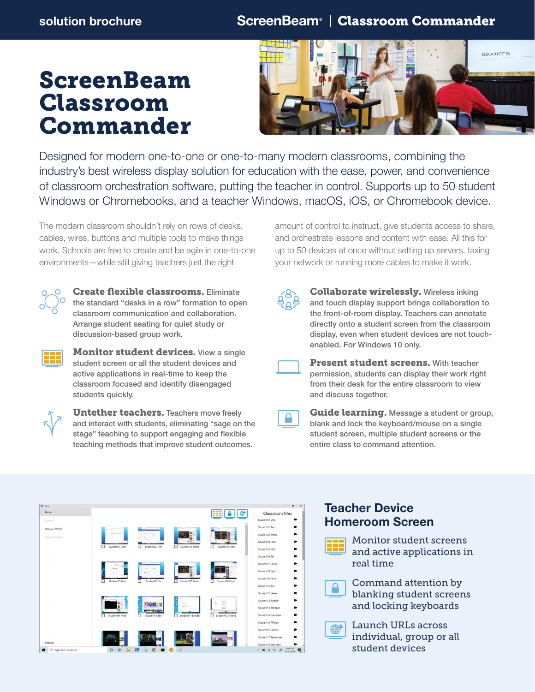# ScreenBeam Classroom Commander



Designed for modern one-to-one or one-to-many modern classrooms, combining the industry's best wireless display solution for education with the ease, power, and convenience of classroom orchestration software, putting the teacher in control. Supports up to 50 student Windows or Chromebooks, and a teacher Windows, macOS, iOS, or Chromebook device.

The modern classroom shouldn't rely on rows of desks, cables, wires, buttons and multiple tools to make things work. Schools are free to create and be agile in one-to-one environments—while still giving teachers just the right



Create flexible classrooms. Eliminate the standard "desks in a row" formation to open classroom communication and collaboration. Arrange student seating for quiet study or discussion-based group work.



**Monitor student devices.** View a single student screen or all the student devices and active applications in real-time to keep the classroom focused and identify disengaged students quickly.



**Untether teachers.** Teachers move freely and interact with students, eliminating "sage on the stage" teaching to support engaging and flexible teaching methods that improve student outcomes.

amount of control to instruct, give students access to share, and orchestrate lessons and content with ease. All this for up to 50 devices at once without setting up servers, taxing your network or running more cables to make it work.

Collaborate wirelessly. Wireless inking and touch display support brings collaboration to the front-of-room display. Teachers can annotate directly onto a student screen from the classroom display, even when student devices are not touchenabled. For Windows 10 only.

**Present student screens.** With teacher permission, students can display their work right from their desk for the entire classroom to view and discuss together.

Guide learning. Message a student or group, blank and lock the keyboard/mouse on a single student screen, multiple student screens or the entire class to command attention.



## Teacher Device Homeroom Screen

Monitor student screens and active applications in real time

Command attention by blanking student screens and locking keyboards

Launch URLs across individual, group or all student devices